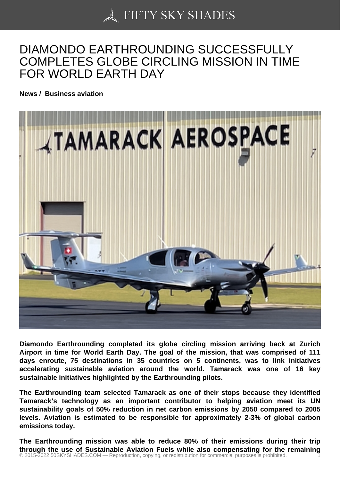## [DIAMONDO EARTHRO](https://50skyshades.com)UNDING SUCCESSFULLY COMPLETES GLOBE CIRCLING MISSION IN TIME FOR WORLD EARTH DAY

News / Business aviation

Diamondo Earthrounding completed its globe circling mission arriving back at Zurich Airport in time for World Earth Day. The goal of the mission, that was comprised of 111 days enroute, 75 destinations in 35 countries on 5 continents, was to link initiatives accelerating sustainable aviation around the world. Tamarack was one of 16 key sustainable initiatives highlighted by the Earthrounding pilots.

The Earthrounding team selected Tamarack as one of their stops because they identified Tamarack's technology as an important contributor to helping aviation meet its UN sustainability goals of 50% reduction in net carbon emissions by 2050 compared to 2005 levels. Aviation is estimated to be responsible for approximately 2-3% of global carbon emissions today.

The Earthrounding mission was able to reduce 80% of their emissions during their trip through the use of Sustainable Aviation Fuels while also compensating for the remaining © 2015-2022 50SKYSHADES.COM — Reproduction, copying, or redistribution for commercial purposes is prohibited. 1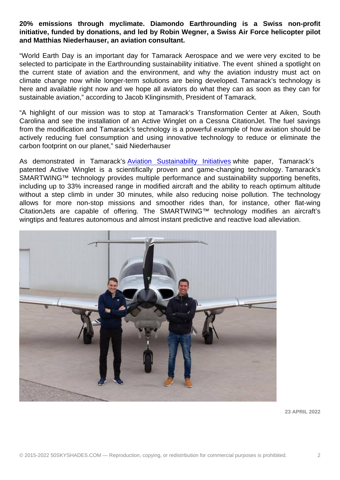initiative, funded by donations, and led by Robin Wegner, a Swiss Air Force helicopter pilot and Matthias Niederhauser, an aviation consultant.

"World Earth Day is an important day for Tamarack Aerospace and we were very excited to be selected to participate in the Earthrounding sustainability initiative. The event shined a spotlight on the current state of aviation and the environment, and why the aviation industry must act on climate change now while longer-term solutions are being developed. Tamarack's technology is here and available right now and we hope all aviators do what they can as soon as they can for sustainable aviation," according to Jacob Klinginsmith, President of Tamarack.

"A highlight of our mission was to stop at Tamarack's Transformation Center at Aiken, South Carolina and see the installation of an Active Winglet on a Cessna CitationJet. The fuel savings from the modification and Tamarack's technology is a powerful example of how aviation should be actively reducing fuel consumption and using innovative technology to reduce or eliminate the carbon footprint on our planet," said Niederhauser

As demonstrated in Tamarack's Aviation Sustainability Initiatives white paper, Tamarack's patented Active Winglet is a scientifically proven and game-changing technology. Tamarack's SMARTWING™ technology provides multiple performance and sustainability supporting benefits, including up to 33% increased ran[ge in modified aircraft and the abil](http://link.mediaoutreach.meltwater.com/ls/click?upn=-2FXlsGoSIOpvzjqkGiVcTC3xg6CKu278GIEHkZrMeVQMI-2FlZEJ8TNjzgO7mHjR5QcddBla7YscipyLxw-2FJRUOY7xPVF1jxd1CnOEXhZGrZYPJxvflbTVGWimoBtGq4KVjr9ZCopb6Ws4U3rftAzrfiMWOLqOmv6yd6pT46P6vZQN0BMDOM4BnnKFmdTX9ZFXHxVXYCDGEp0PbQmYPG-2FUPLQ-3D-3D0_9S_wVU3sWPqD-2BJ862OfyV2Ojj-2FPtQPiz-2F4sNV3lh5c9p1tAJsg96vLSFpNFZJgJs-2B3-2BVy1H9Z31QhWm-2BmNwqabqgPn7a4-2By-2BSvT256vz6PUH5ttJzY4LZS3UZx4d0wHsiJYhuUVPFIJq4tmU-2BL9TE-2FyXGC8T5jaSe5RcYvaYHutrdVV4TobvEX94gqVckx17qR2c0kWrz8WEH0zn0ZYnfAYn1kNCwWCA1nHVChdrMBTCqBxSZveyVonsIwhglHDthfY2b2Mkkkj-2FH7m2p4U5lw4TkuU2HgQRftrj36W765017bzDjYMpx9HvAN-2BqFqzWwyakMYabW3OvcKrsenVkCz-2BKUzGVpvv5LSfis1jwYGN3fZQJuP2y1Hw66zPAz8qoXHY)ity to reach optimum altitude without a step climb in under 30 minutes, while also reducing noise pollution. The technology allows for more non-stop missions and smoother rides than, for instance, other flat-wing CitationJets are capable of offering. The SMARTWING™ technology modifies an aircraft's wingtips and features autonomous and almost instant predictive and reactive load alleviation.

23 APRIL 2022